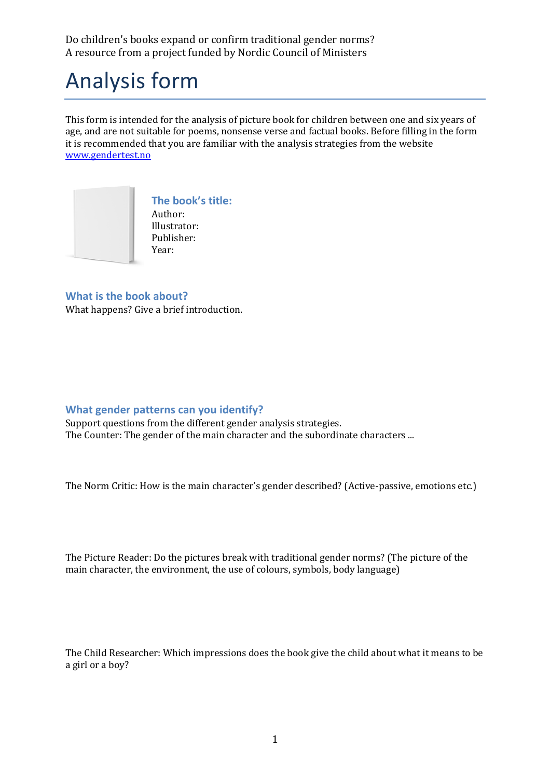Do children's books expand or confirm traditional gender norms? A resource from a project funded by Nordic Council of Ministers

## Analysis form

This form is intended for the analysis of picture book for children between one and six years of age, and are not suitable for poems, nonsense verse and factual books. Before filling in the form it is recommended that you are familiar with the analysis strategies from the website [www.gendertest.no](http://www.gendertest.no/)



**The book's title:** Author: Illustrator: Publisher: Year:

## **What is the book about?**

What happens? Give a brief introduction.

## **What gender patterns can you identify?**

Support questions from the different gender analysis strategies. The Counter: The gender of the main character and the subordinate characters ...

The Norm Critic: How is the main character's gender described? (Active-passive, emotions etc.)

The Picture Reader: Do the pictures break with traditional gender norms? (The picture of the main character, the environment, the use of colours, symbols, body language)

The Child Researcher: Which impressions does the book give the child about what it means to be a girl or a boy?